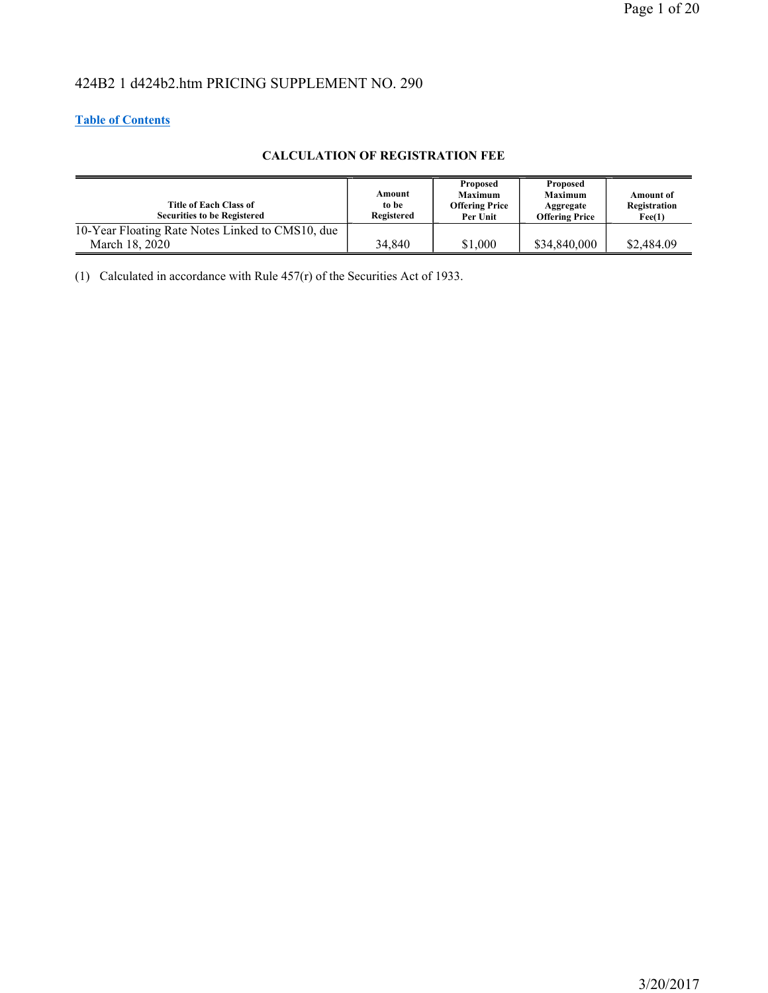# 424B2 1 d424b2.htm PRICING SUPPLEMENT NO. 290

# **Table of Contents**

# **CALCULATION OF REGISTRATION FEE**

| <b>Title of Each Class of</b><br><b>Securities to be Registered</b> | Amount<br>to be<br>Registered | Proposed<br><b>Maximum</b><br><b>Offering Price</b><br>Per Unit | Proposed<br><b>Maximum</b><br>Aggregate<br><b>Offering Price</b> | Amount of<br>Registration<br>$\text{Fe}(1)$ |
|---------------------------------------------------------------------|-------------------------------|-----------------------------------------------------------------|------------------------------------------------------------------|---------------------------------------------|
| 10-Year Floating Rate Notes Linked to CMS10, due                    |                               |                                                                 |                                                                  |                                             |
| March 18, 2020                                                      | 34,840                        | \$1,000                                                         | \$34,840,000                                                     | \$2,484.09                                  |

(1) Calculated in accordance with Rule  $457(r)$  of the Securities Act of 1933.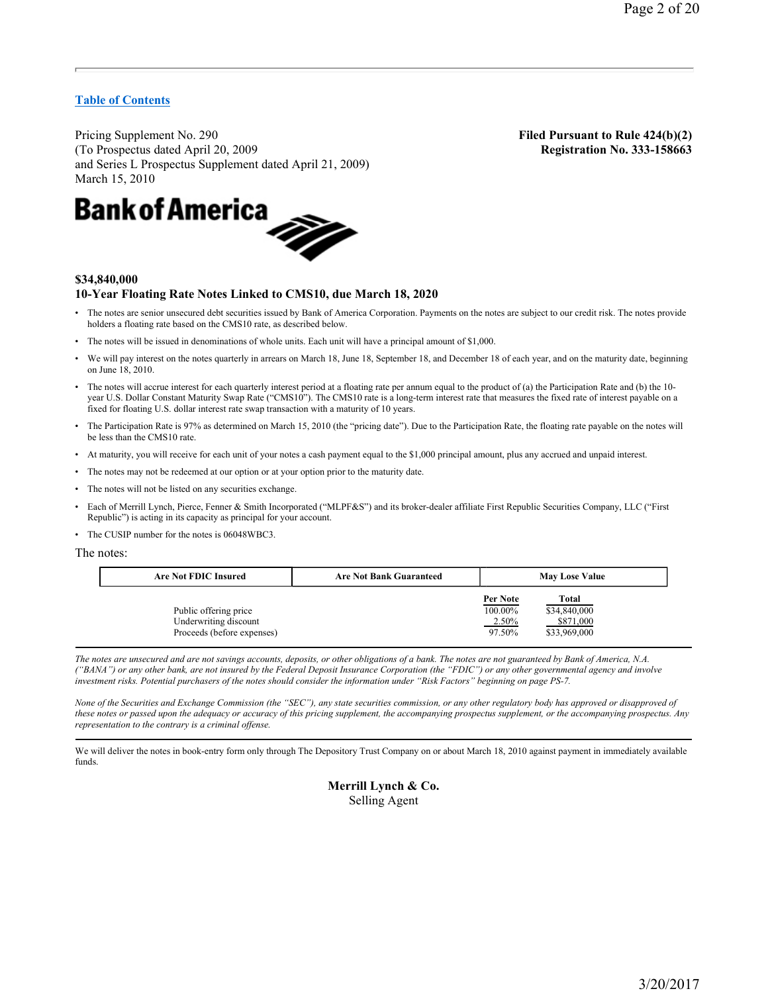Pricing Supplement No. 290 **Filed Pursuant to Rule 424(b)(2)** (To Prospectus dated April 20, 2009 **Registration No. 333-158663** and Series L Prospectus Supplement dated April 21, 2009)



# **\$34,840,000 10-Year Floating Rate Notes Linked to CMS10, due March 18, 2020**

- The notes are senior unsecured debt securities issued by Bank of America Corporation. Payments on the notes are subject to our credit risk. The notes provide holders a floating rate based on the CMS10 rate, as described below.
- The notes will be issued in denominations of whole units. Each unit will have a principal amount of \$1,000.
- We will pay interest on the notes quarterly in arrears on March 18, June 18, September 18, and December 18 of each year, and on the maturity date, beginning on June 18, 2010.
- The notes will accrue interest for each quarterly interest period at a floating rate per annum equal to the product of (a) the Participation Rate and (b) the 10 year U.S. Dollar Constant Maturity Swap Rate ("CMS10"). The CMS10 rate is a long-term interest rate that measures the fixed rate of interest payable on a fixed for floating U.S. dollar interest rate swap transaction with a maturity of 10 years.
- The Participation Rate is 97% as determined on March 15, 2010 (the "pricing date"). Due to the Participation Rate, the floating rate payable on the notes will be less than the CMS10 rate.
- At maturity, you will receive for each unit of your notes a cash payment equal to the \$1,000 principal amount, plus any accrued and unpaid interest.
- The notes may not be redeemed at our option or at your option prior to the maturity date.
- The notes will not be listed on any securities exchange.
- Each of Merrill Lynch, Pierce, Fenner & Smith Incorporated ("MLPF&S") and its broker-dealer affiliate First Republic Securities Company, LLC ("First Republic") is acting in its capacity as principal for your account.
- The CUSIP number for the notes is 06048WBC3.

The notes:

| <b>Are Not FDIC Insured</b>                                                  | <b>Are Not Bank Guaranteed</b> | <b>May Lose Value</b>                  |                                                    |  |
|------------------------------------------------------------------------------|--------------------------------|----------------------------------------|----------------------------------------------------|--|
| Public offering price<br>Underwriting discount<br>Proceeds (before expenses) |                                | Per Note<br>100.00%<br>2.50%<br>97.50% | Total<br>\$34,840,000<br>\$871,000<br>\$33,969,000 |  |

*The notes are unsecured and are not savings accounts, deposits, or other obligations of a bank. The notes are not guaranteed by Bank of America, N.A. ("BANA") or any other bank, are not insured by the Federal Deposit Insurance Corporation (the "FDIC") or any other governmental agency and involve investment risks. Potential purchasers of the notes should consider the information under "Risk Factors" beginning on page PS-7.* 

*None of the Securities and Exchange Commission (the "SEC"), any state securities commission, or any other regulatory body has approved or disapproved of these notes or passed upon the adequacy or accuracy of this pricing supplement, the accompanying prospectus supplement, or the accompanying prospectus. Any representation to the contrary is a criminal offense.* 

We will deliver the notes in book-entry form only through The Depository Trust Company on or about March 18, 2010 against payment in immediately available funds.

# **Merrill Lynch & Co.**  Selling Agent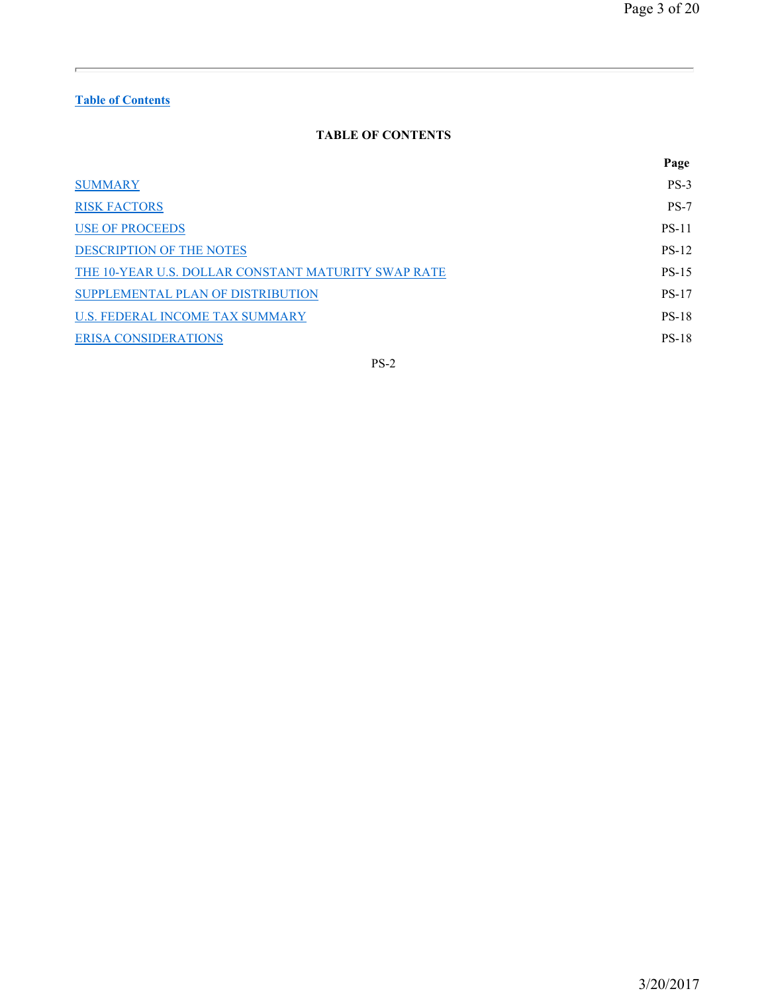# **TABLE OF CONTENTS**

|                                                     | Page         |
|-----------------------------------------------------|--------------|
| <b>SUMMARY</b>                                      | $PS-3$       |
| <b>RISK FACTORS</b>                                 | $PS-7$       |
| <b>USE OF PROCEEDS</b>                              | <b>PS-11</b> |
| <b>DESCRIPTION OF THE NOTES</b>                     | <b>PS-12</b> |
| THE 10-YEAR U.S. DOLLAR CONSTANT MATURITY SWAP RATE | <b>PS-15</b> |
| SUPPLEMENTAL PLAN OF DISTRIBUTION                   | <b>PS-17</b> |
| U.S. FEDERAL INCOME TAX SUMMARY                     | <b>PS-18</b> |
| <b>ERISA CONSIDERATIONS</b>                         | <b>PS-18</b> |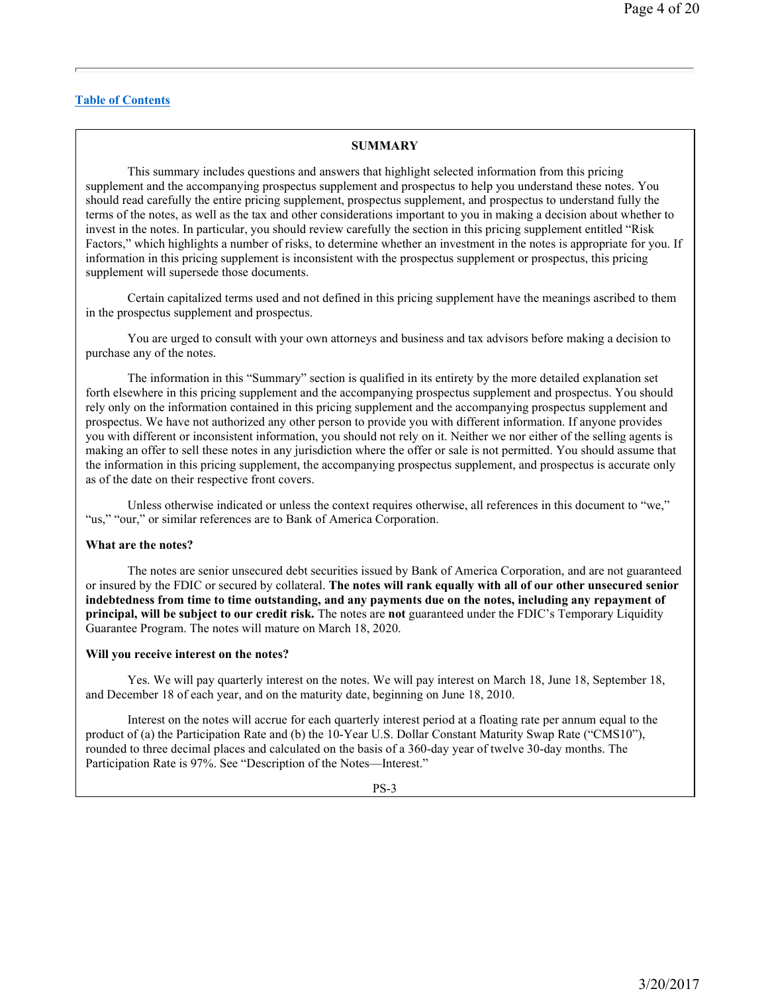# **SUMMARY**

This summary includes questions and answers that highlight selected information from this pricing supplement and the accompanying prospectus supplement and prospectus to help you understand these notes. You should read carefully the entire pricing supplement, prospectus supplement, and prospectus to understand fully the terms of the notes, as well as the tax and other considerations important to you in making a decision about whether to invest in the notes. In particular, you should review carefully the section in this pricing supplement entitled "Risk Factors," which highlights a number of risks, to determine whether an investment in the notes is appropriate for you. If information in this pricing supplement is inconsistent with the prospectus supplement or prospectus, this pricing supplement will supersede those documents.

Certain capitalized terms used and not defined in this pricing supplement have the meanings ascribed to them in the prospectus supplement and prospectus.

You are urged to consult with your own attorneys and business and tax advisors before making a decision to purchase any of the notes.

The information in this "Summary" section is qualified in its entirety by the more detailed explanation set forth elsewhere in this pricing supplement and the accompanying prospectus supplement and prospectus. You should rely only on the information contained in this pricing supplement and the accompanying prospectus supplement and prospectus. We have not authorized any other person to provide you with different information. If anyone provides you with different or inconsistent information, you should not rely on it. Neither we nor either of the selling agents is making an offer to sell these notes in any jurisdiction where the offer or sale is not permitted. You should assume that the information in this pricing supplement, the accompanying prospectus supplement, and prospectus is accurate only as of the date on their respective front covers.

Unless otherwise indicated or unless the context requires otherwise, all references in this document to "we," "us," "our," or similar references are to Bank of America Corporation.

#### **What are the notes?**

The notes are senior unsecured debt securities issued by Bank of America Corporation, and are not guaranteed or insured by the FDIC or secured by collateral. **The notes will rank equally with all of our other unsecured senior indebtedness from time to time outstanding, and any payments due on the notes, including any repayment of principal, will be subject to our credit risk.** The notes are **not** guaranteed under the FDIC's Temporary Liquidity Guarantee Program. The notes will mature on March 18, 2020.

### **Will you receive interest on the notes?**

Yes. We will pay quarterly interest on the notes. We will pay interest on March 18, June 18, September 18, and December 18 of each year, and on the maturity date, beginning on June 18, 2010.

Interest on the notes will accrue for each quarterly interest period at a floating rate per annum equal to the product of (a) the Participation Rate and (b) the 10-Year U.S. Dollar Constant Maturity Swap Rate ("CMS10"), rounded to three decimal places and calculated on the basis of a 360-day year of twelve 30-day months. The Participation Rate is 97%. See "Description of the Notes—Interest."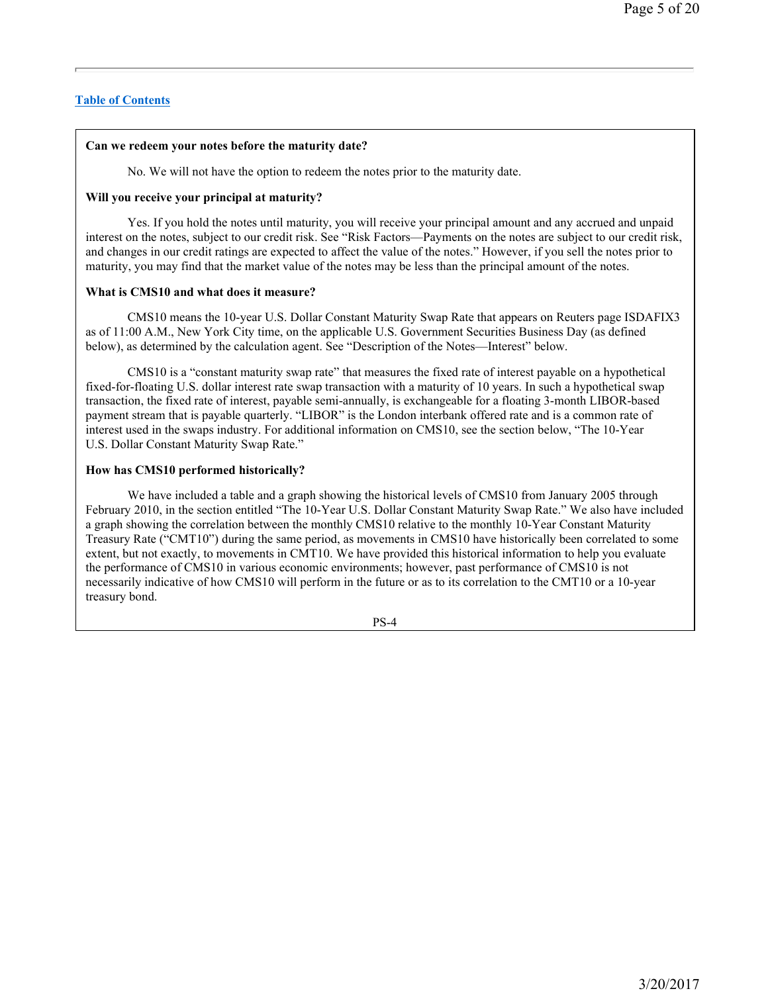# **Can we redeem your notes before the maturity date?**

No. We will not have the option to redeem the notes prior to the maturity date.

# **Will you receive your principal at maturity?**

Yes. If you hold the notes until maturity, you will receive your principal amount and any accrued and unpaid interest on the notes, subject to our credit risk. See "Risk Factors—Payments on the notes are subject to our credit risk, and changes in our credit ratings are expected to affect the value of the notes." However, if you sell the notes prior to maturity, you may find that the market value of the notes may be less than the principal amount of the notes.

# **What is CMS10 and what does it measure?**

CMS10 means the 10-year U.S. Dollar Constant Maturity Swap Rate that appears on Reuters page ISDAFIX3 as of 11:00 A.M., New York City time, on the applicable U.S. Government Securities Business Day (as defined below), as determined by the calculation agent. See "Description of the Notes—Interest" below.

CMS10 is a "constant maturity swap rate" that measures the fixed rate of interest payable on a hypothetical fixed-for-floating U.S. dollar interest rate swap transaction with a maturity of 10 years. In such a hypothetical swap transaction, the fixed rate of interest, payable semi-annually, is exchangeable for a floating 3-month LIBOR-based payment stream that is payable quarterly. "LIBOR" is the London interbank offered rate and is a common rate of interest used in the swaps industry. For additional information on CMS10, see the section below, "The 10-Year U.S. Dollar Constant Maturity Swap Rate."

# **How has CMS10 performed historically?**

We have included a table and a graph showing the historical levels of CMS10 from January 2005 through February 2010, in the section entitled "The 10-Year U.S. Dollar Constant Maturity Swap Rate." We also have included a graph showing the correlation between the monthly CMS10 relative to the monthly 10-Year Constant Maturity Treasury Rate ("CMT10") during the same period, as movements in CMS10 have historically been correlated to some extent, but not exactly, to movements in CMT10. We have provided this historical information to help you evaluate the performance of CMS10 in various economic environments; however, past performance of CMS10 is not necessarily indicative of how CMS10 will perform in the future or as to its correlation to the CMT10 or a 10-year treasury bond.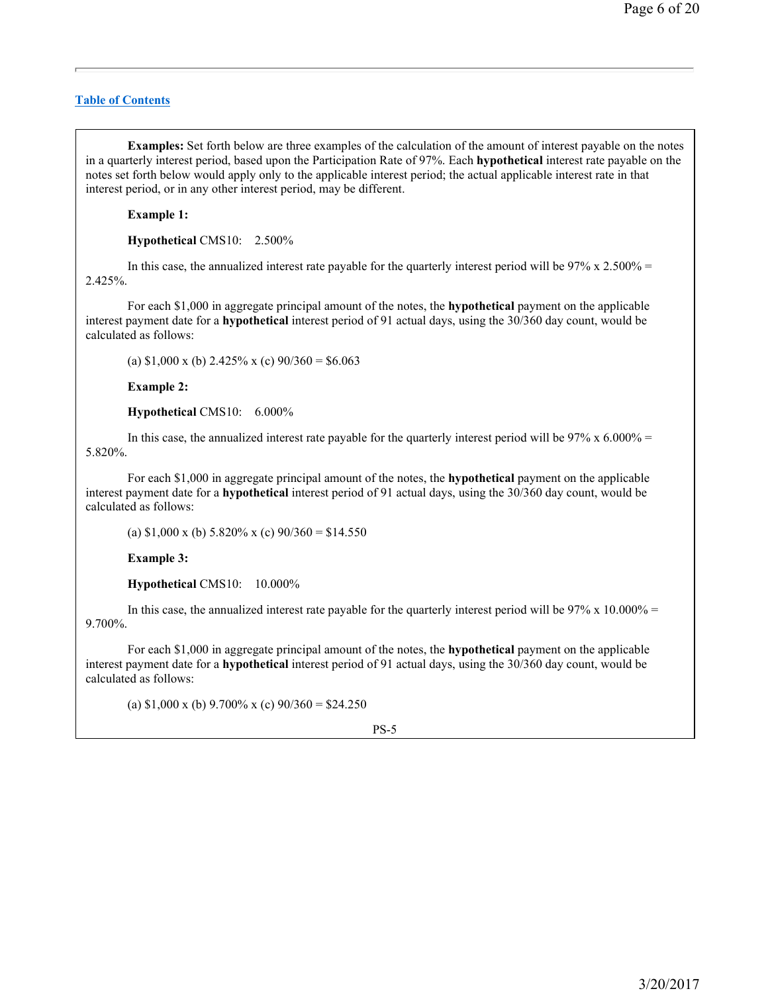**Examples:** Set forth below are three examples of the calculation of the amount of interest payable on the notes in a quarterly interest period, based upon the Participation Rate of 97%. Each **hypothetical** interest rate payable on the notes set forth below would apply only to the applicable interest period; the actual applicable interest rate in that interest period, or in any other interest period, may be different.

**Example 1:** 

**Hypothetical** CMS10: 2.500%

In this case, the annualized interest rate payable for the quarterly interest period will be  $97\% \times 2.500\% =$ 2.425%.

For each \$1,000 in aggregate principal amount of the notes, the **hypothetical** payment on the applicable interest payment date for a **hypothetical** interest period of 91 actual days, using the 30/360 day count, would be calculated as follows:

(a)  $$1,000 \times$  (b) 2.425% x (c)  $90/360 = $6.063$ 

**Example 2:** 

**Hypothetical** CMS10: 6.000%

In this case, the annualized interest rate payable for the quarterly interest period will be  $97\% \times 6.000\% =$ 5.820%.

For each \$1,000 in aggregate principal amount of the notes, the **hypothetical** payment on the applicable interest payment date for a **hypothetical** interest period of 91 actual days, using the 30/360 day count, would be calculated as follows:

(a)  $$1,000 \times$  (b)  $5.820\% \times$  (c)  $90/360 = $14.550$ 

**Example 3:** 

**Hypothetical** CMS10: 10.000%

In this case, the annualized interest rate payable for the quarterly interest period will be  $97\% \times 10.000\% =$ 9.700%.

For each \$1,000 in aggregate principal amount of the notes, the **hypothetical** payment on the applicable interest payment date for a **hypothetical** interest period of 91 actual days, using the 30/360 day count, would be calculated as follows:

(a)  $$1,000 \times$  (b)  $9.700\% \times$  (c)  $90/360 = $24.250$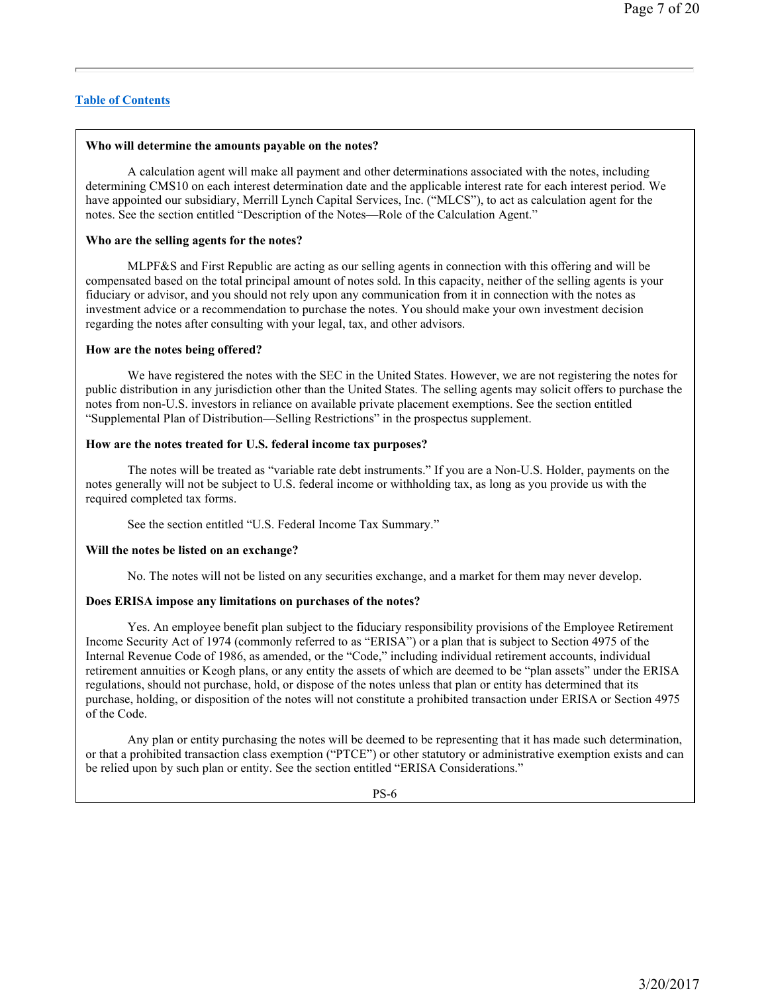### **Who will determine the amounts payable on the notes?**

A calculation agent will make all payment and other determinations associated with the notes, including determining CMS10 on each interest determination date and the applicable interest rate for each interest period. We have appointed our subsidiary, Merrill Lynch Capital Services, Inc. ("MLCS"), to act as calculation agent for the notes. See the section entitled "Description of the Notes—Role of the Calculation Agent."

### **Who are the selling agents for the notes?**

MLPF&S and First Republic are acting as our selling agents in connection with this offering and will be compensated based on the total principal amount of notes sold. In this capacity, neither of the selling agents is your fiduciary or advisor, and you should not rely upon any communication from it in connection with the notes as investment advice or a recommendation to purchase the notes. You should make your own investment decision regarding the notes after consulting with your legal, tax, and other advisors.

#### **How are the notes being offered?**

We have registered the notes with the SEC in the United States. However, we are not registering the notes for public distribution in any jurisdiction other than the United States. The selling agents may solicit offers to purchase the notes from non-U.S. investors in reliance on available private placement exemptions. See the section entitled "Supplemental Plan of Distribution—Selling Restrictions" in the prospectus supplement.

### **How are the notes treated for U.S. federal income tax purposes?**

The notes will be treated as "variable rate debt instruments." If you are a Non-U.S. Holder, payments on the notes generally will not be subject to U.S. federal income or withholding tax, as long as you provide us with the required completed tax forms.

See the section entitled "U.S. Federal Income Tax Summary."

### **Will the notes be listed on an exchange?**

No. The notes will not be listed on any securities exchange, and a market for them may never develop.

### **Does ERISA impose any limitations on purchases of the notes?**

Yes. An employee benefit plan subject to the fiduciary responsibility provisions of the Employee Retirement Income Security Act of 1974 (commonly referred to as "ERISA") or a plan that is subject to Section 4975 of the Internal Revenue Code of 1986, as amended, or the "Code," including individual retirement accounts, individual retirement annuities or Keogh plans, or any entity the assets of which are deemed to be "plan assets" under the ERISA regulations, should not purchase, hold, or dispose of the notes unless that plan or entity has determined that its purchase, holding, or disposition of the notes will not constitute a prohibited transaction under ERISA or Section 4975 of the Code.

Any plan or entity purchasing the notes will be deemed to be representing that it has made such determination, or that a prohibited transaction class exemption ("PTCE") or other statutory or administrative exemption exists and can be relied upon by such plan or entity. See the section entitled "ERISA Considerations."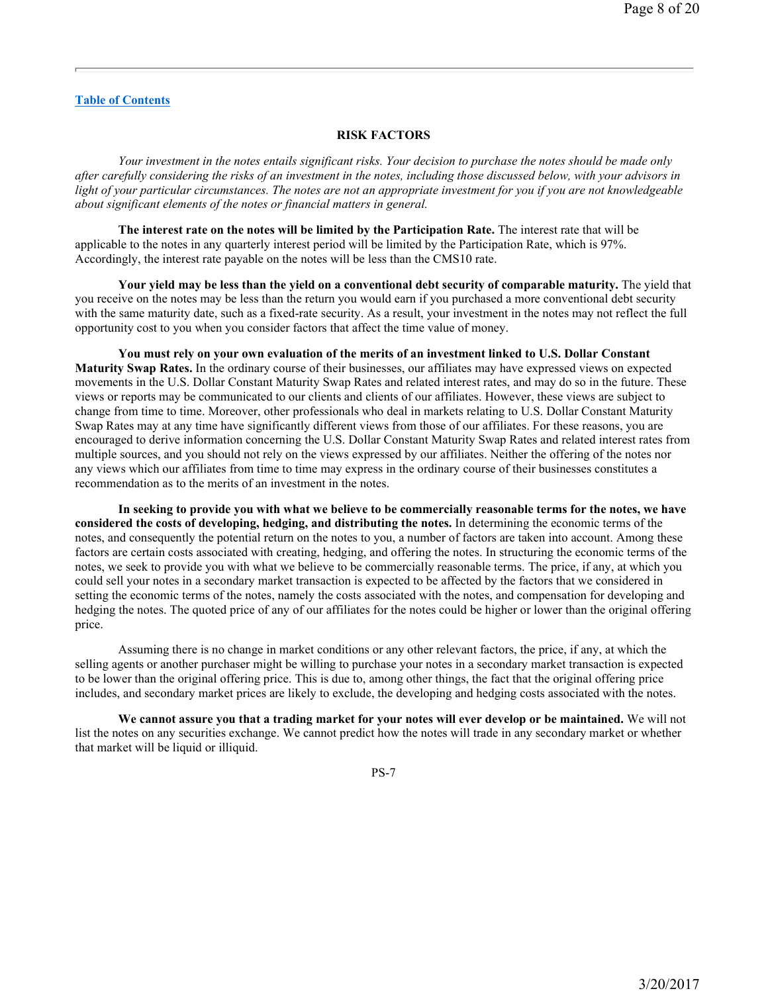#### **RISK FACTORS**

*Your investment in the notes entails significant risks. Your decision to purchase the notes should be made only after carefully considering the risks of an investment in the notes, including those discussed below, with your advisors in light of your particular circumstances. The notes are not an appropriate investment for you if you are not knowledgeable about significant elements of the notes or financial matters in general.* 

**The interest rate on the notes will be limited by the Participation Rate.** The interest rate that will be applicable to the notes in any quarterly interest period will be limited by the Participation Rate, which is 97%. Accordingly, the interest rate payable on the notes will be less than the CMS10 rate.

**Your yield may be less than the yield on a conventional debt security of comparable maturity.** The yield that you receive on the notes may be less than the return you would earn if you purchased a more conventional debt security with the same maturity date, such as a fixed-rate security. As a result, your investment in the notes may not reflect the full opportunity cost to you when you consider factors that affect the time value of money.

**You must rely on your own evaluation of the merits of an investment linked to U.S. Dollar Constant Maturity Swap Rates.** In the ordinary course of their businesses, our affiliates may have expressed views on expected movements in the U.S. Dollar Constant Maturity Swap Rates and related interest rates, and may do so in the future. These views or reports may be communicated to our clients and clients of our affiliates. However, these views are subject to change from time to time. Moreover, other professionals who deal in markets relating to U.S. Dollar Constant Maturity Swap Rates may at any time have significantly different views from those of our affiliates. For these reasons, you are encouraged to derive information concerning the U.S. Dollar Constant Maturity Swap Rates and related interest rates from multiple sources, and you should not rely on the views expressed by our affiliates. Neither the offering of the notes nor any views which our affiliates from time to time may express in the ordinary course of their businesses constitutes a recommendation as to the merits of an investment in the notes.

**In seeking to provide you with what we believe to be commercially reasonable terms for the notes, we have considered the costs of developing, hedging, and distributing the notes.** In determining the economic terms of the notes, and consequently the potential return on the notes to you, a number of factors are taken into account. Among these factors are certain costs associated with creating, hedging, and offering the notes. In structuring the economic terms of the notes, we seek to provide you with what we believe to be commercially reasonable terms. The price, if any, at which you could sell your notes in a secondary market transaction is expected to be affected by the factors that we considered in setting the economic terms of the notes, namely the costs associated with the notes, and compensation for developing and hedging the notes. The quoted price of any of our affiliates for the notes could be higher or lower than the original offering price.

Assuming there is no change in market conditions or any other relevant factors, the price, if any, at which the selling agents or another purchaser might be willing to purchase your notes in a secondary market transaction is expected to be lower than the original offering price. This is due to, among other things, the fact that the original offering price includes, and secondary market prices are likely to exclude, the developing and hedging costs associated with the notes.

**We cannot assure you that a trading market for your notes will ever develop or be maintained.** We will not list the notes on any securities exchange. We cannot predict how the notes will trade in any secondary market or whether that market will be liquid or illiquid.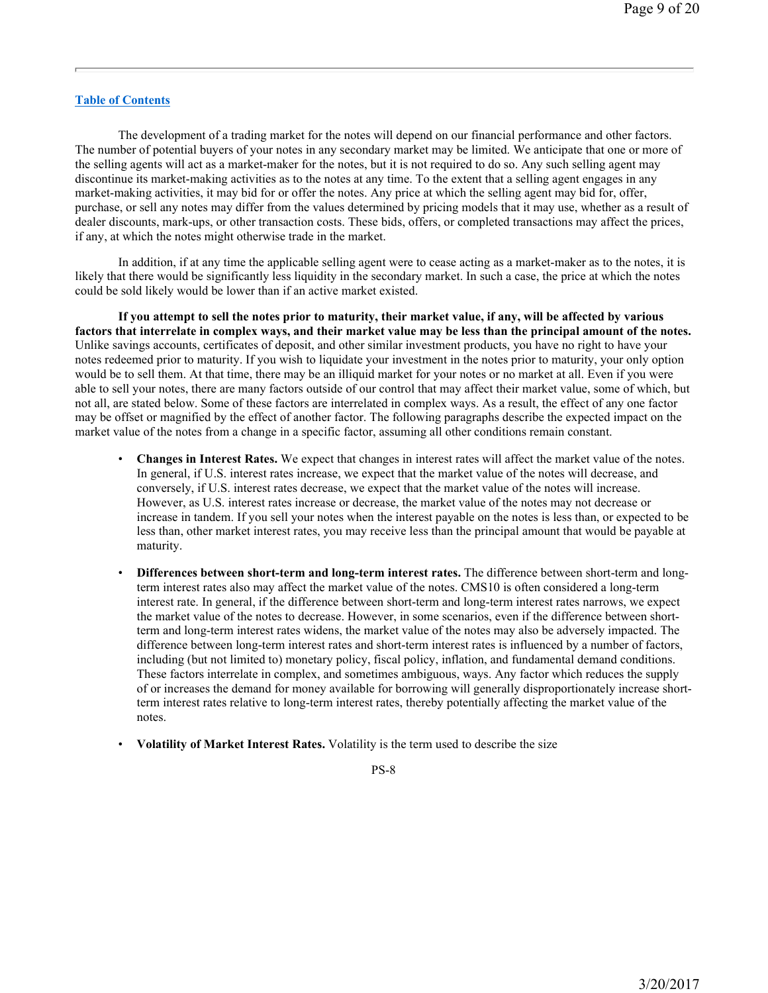The development of a trading market for the notes will depend on our financial performance and other factors. The number of potential buyers of your notes in any secondary market may be limited. We anticipate that one or more of the selling agents will act as a market-maker for the notes, but it is not required to do so. Any such selling agent may discontinue its market-making activities as to the notes at any time. To the extent that a selling agent engages in any market-making activities, it may bid for or offer the notes. Any price at which the selling agent may bid for, offer, purchase, or sell any notes may differ from the values determined by pricing models that it may use, whether as a result of dealer discounts, mark-ups, or other transaction costs. These bids, offers, or completed transactions may affect the prices, if any, at which the notes might otherwise trade in the market.

In addition, if at any time the applicable selling agent were to cease acting as a market-maker as to the notes, it is likely that there would be significantly less liquidity in the secondary market. In such a case, the price at which the notes could be sold likely would be lower than if an active market existed.

**If you attempt to sell the notes prior to maturity, their market value, if any, will be affected by various factors that interrelate in complex ways, and their market value may be less than the principal amount of the notes.** Unlike savings accounts, certificates of deposit, and other similar investment products, you have no right to have your notes redeemed prior to maturity. If you wish to liquidate your investment in the notes prior to maturity, your only option would be to sell them. At that time, there may be an illiquid market for your notes or no market at all. Even if you were able to sell your notes, there are many factors outside of our control that may affect their market value, some of which, but not all, are stated below. Some of these factors are interrelated in complex ways. As a result, the effect of any one factor may be offset or magnified by the effect of another factor. The following paragraphs describe the expected impact on the market value of the notes from a change in a specific factor, assuming all other conditions remain constant.

- **Changes in Interest Rates.** We expect that changes in interest rates will affect the market value of the notes. In general, if U.S. interest rates increase, we expect that the market value of the notes will decrease, and conversely, if U.S. interest rates decrease, we expect that the market value of the notes will increase. However, as U.S. interest rates increase or decrease, the market value of the notes may not decrease or increase in tandem. If you sell your notes when the interest payable on the notes is less than, or expected to be less than, other market interest rates, you may receive less than the principal amount that would be payable at maturity.
- **Differences between short-term and long-term interest rates.** The difference between short-term and longterm interest rates also may affect the market value of the notes. CMS10 is often considered a long-term interest rate. In general, if the difference between short-term and long-term interest rates narrows, we expect the market value of the notes to decrease. However, in some scenarios, even if the difference between shortterm and long-term interest rates widens, the market value of the notes may also be adversely impacted. The difference between long-term interest rates and short-term interest rates is influenced by a number of factors, including (but not limited to) monetary policy, fiscal policy, inflation, and fundamental demand conditions. These factors interrelate in complex, and sometimes ambiguous, ways. Any factor which reduces the supply of or increases the demand for money available for borrowing will generally disproportionately increase shortterm interest rates relative to long-term interest rates, thereby potentially affecting the market value of the notes.
- **Volatility of Market Interest Rates.** Volatility is the term used to describe the size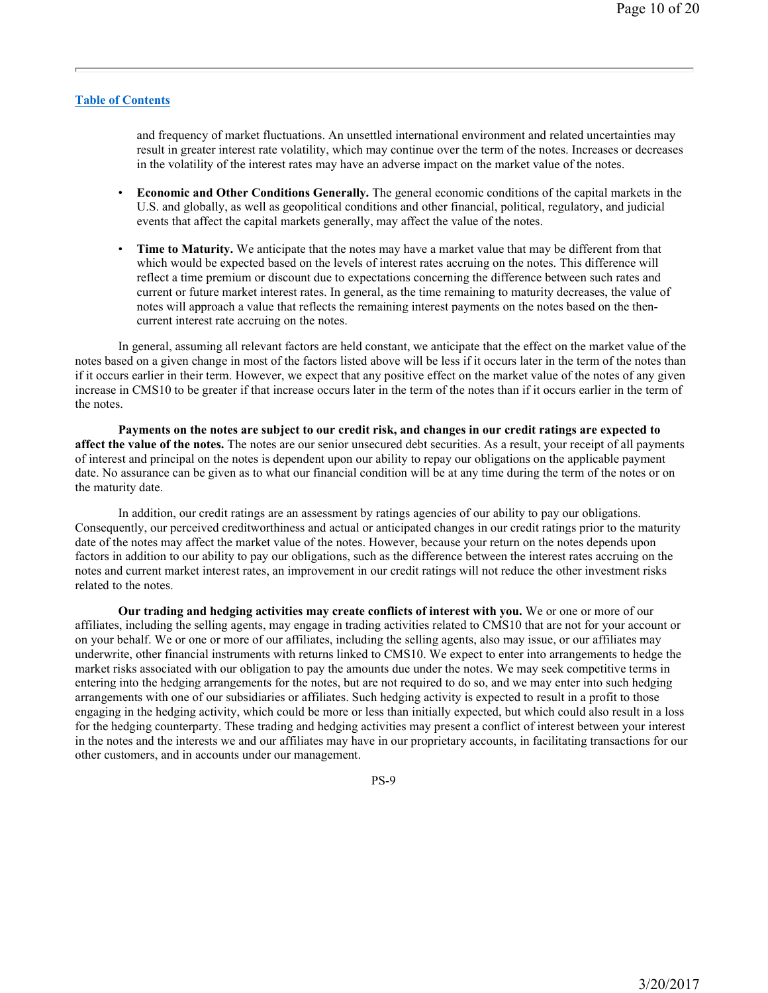and frequency of market fluctuations. An unsettled international environment and related uncertainties may result in greater interest rate volatility, which may continue over the term of the notes. Increases or decreases in the volatility of the interest rates may have an adverse impact on the market value of the notes.

- **Economic and Other Conditions Generally.** The general economic conditions of the capital markets in the U.S. and globally, as well as geopolitical conditions and other financial, political, regulatory, and judicial events that affect the capital markets generally, may affect the value of the notes.
- **Time to Maturity.** We anticipate that the notes may have a market value that may be different from that which would be expected based on the levels of interest rates accruing on the notes. This difference will reflect a time premium or discount due to expectations concerning the difference between such rates and current or future market interest rates. In general, as the time remaining to maturity decreases, the value of notes will approach a value that reflects the remaining interest payments on the notes based on the thencurrent interest rate accruing on the notes.

In general, assuming all relevant factors are held constant, we anticipate that the effect on the market value of the notes based on a given change in most of the factors listed above will be less if it occurs later in the term of the notes than if it occurs earlier in their term. However, we expect that any positive effect on the market value of the notes of any given increase in CMS10 to be greater if that increase occurs later in the term of the notes than if it occurs earlier in the term of the notes.

**Payments on the notes are subject to our credit risk, and changes in our credit ratings are expected to affect the value of the notes.** The notes are our senior unsecured debt securities. As a result, your receipt of all payments of interest and principal on the notes is dependent upon our ability to repay our obligations on the applicable payment date. No assurance can be given as to what our financial condition will be at any time during the term of the notes or on the maturity date.

In addition, our credit ratings are an assessment by ratings agencies of our ability to pay our obligations. Consequently, our perceived creditworthiness and actual or anticipated changes in our credit ratings prior to the maturity date of the notes may affect the market value of the notes. However, because your return on the notes depends upon factors in addition to our ability to pay our obligations, such as the difference between the interest rates accruing on the notes and current market interest rates, an improvement in our credit ratings will not reduce the other investment risks related to the notes.

**Our trading and hedging activities may create conflicts of interest with you.** We or one or more of our affiliates, including the selling agents, may engage in trading activities related to CMS10 that are not for your account or on your behalf. We or one or more of our affiliates, including the selling agents, also may issue, or our affiliates may underwrite, other financial instruments with returns linked to CMS10. We expect to enter into arrangements to hedge the market risks associated with our obligation to pay the amounts due under the notes. We may seek competitive terms in entering into the hedging arrangements for the notes, but are not required to do so, and we may enter into such hedging arrangements with one of our subsidiaries or affiliates. Such hedging activity is expected to result in a profit to those engaging in the hedging activity, which could be more or less than initially expected, but which could also result in a loss for the hedging counterparty. These trading and hedging activities may present a conflict of interest between your interest in the notes and the interests we and our affiliates may have in our proprietary accounts, in facilitating transactions for our other customers, and in accounts under our management.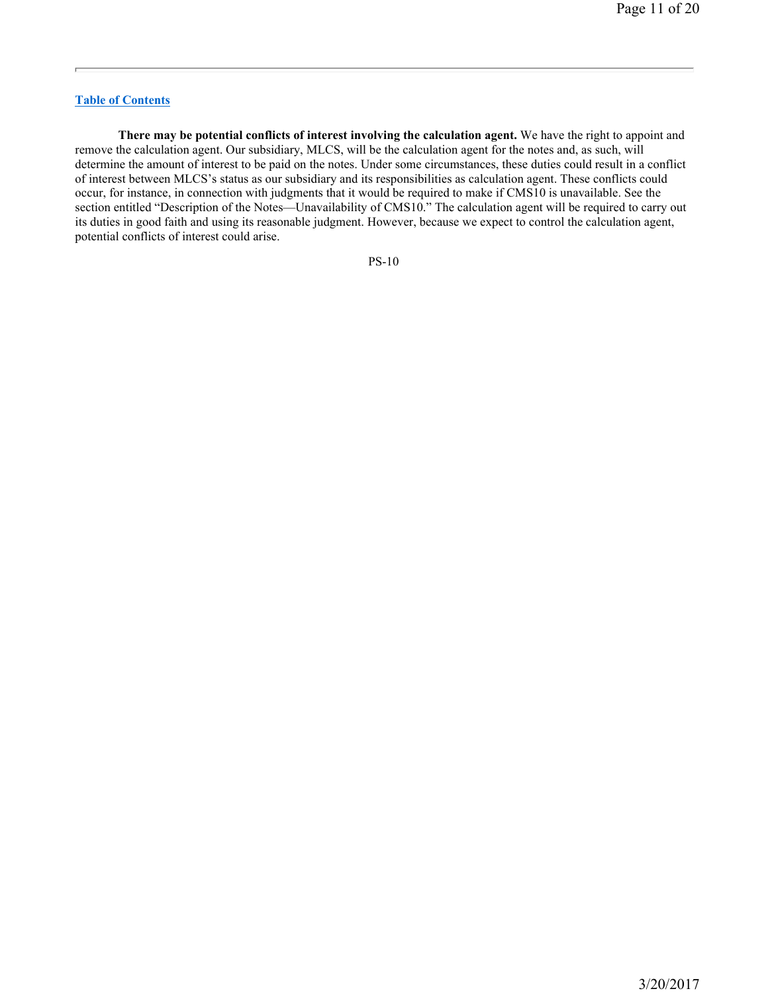**There may be potential conflicts of interest involving the calculation agent.** We have the right to appoint and remove the calculation agent. Our subsidiary, MLCS, will be the calculation agent for the notes and, as such, will determine the amount of interest to be paid on the notes. Under some circumstances, these duties could result in a conflict of interest between MLCS's status as our subsidiary and its responsibilities as calculation agent. These conflicts could occur, for instance, in connection with judgments that it would be required to make if CMS10 is unavailable. See the section entitled "Description of the Notes—Unavailability of CMS10." The calculation agent will be required to carry out its duties in good faith and using its reasonable judgment. However, because we expect to control the calculation agent, potential conflicts of interest could arise.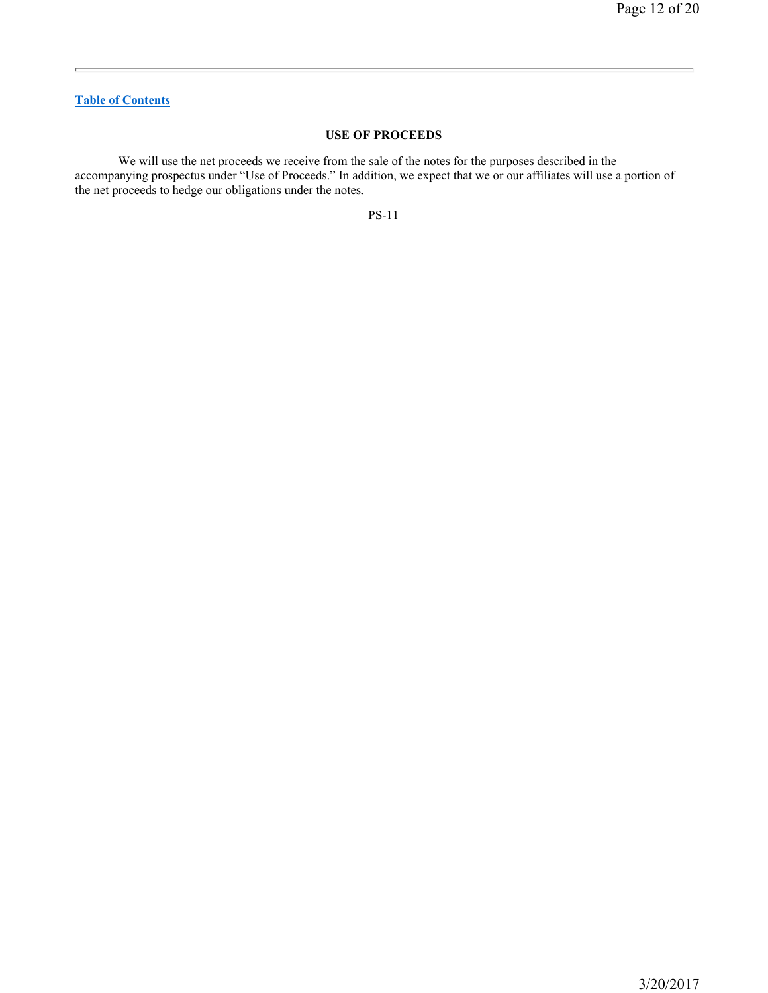# **USE OF PROCEEDS**

We will use the net proceeds we receive from the sale of the notes for the purposes described in the accompanying prospectus under "Use of Proceeds." In addition, we expect that we or our affiliates will use a portion of the net proceeds to hedge our obligations under the notes.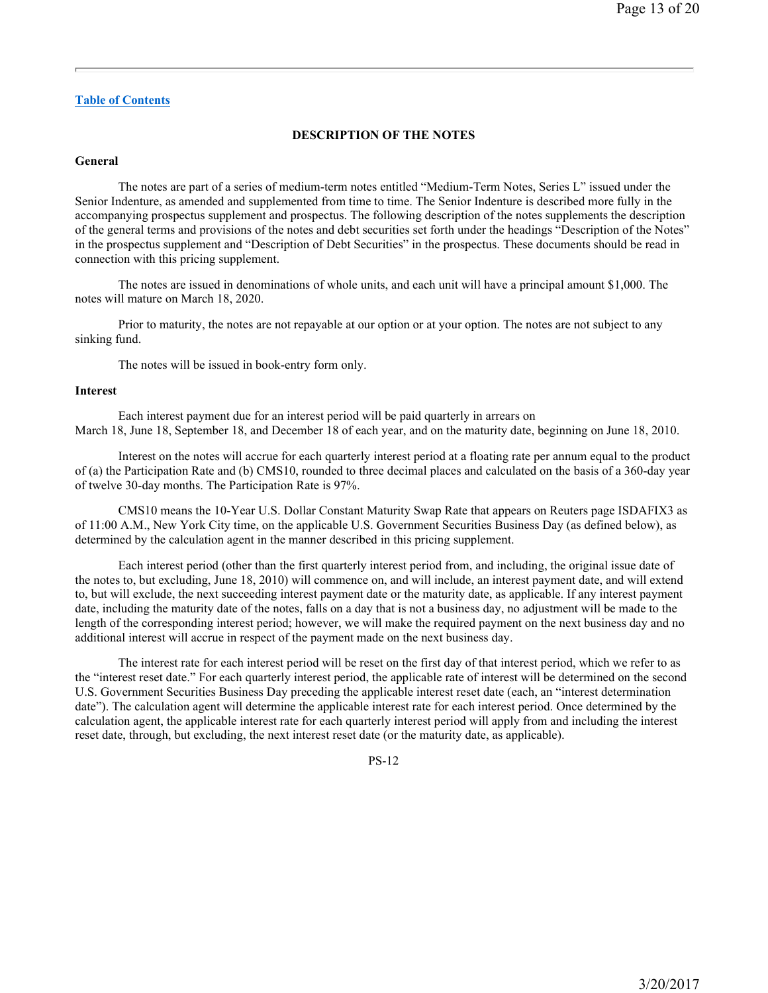### **DESCRIPTION OF THE NOTES**

### **General**

The notes are part of a series of medium-term notes entitled "Medium-Term Notes, Series L" issued under the Senior Indenture, as amended and supplemented from time to time. The Senior Indenture is described more fully in the accompanying prospectus supplement and prospectus. The following description of the notes supplements the description of the general terms and provisions of the notes and debt securities set forth under the headings "Description of the Notes" in the prospectus supplement and "Description of Debt Securities" in the prospectus. These documents should be read in connection with this pricing supplement.

The notes are issued in denominations of whole units, and each unit will have a principal amount \$1,000. The notes will mature on March 18, 2020.

Prior to maturity, the notes are not repayable at our option or at your option. The notes are not subject to any sinking fund.

The notes will be issued in book-entry form only.

#### **Interest**

Each interest payment due for an interest period will be paid quarterly in arrears on March 18, June 18, September 18, and December 18 of each year, and on the maturity date, beginning on June 18, 2010.

Interest on the notes will accrue for each quarterly interest period at a floating rate per annum equal to the product of (a) the Participation Rate and (b) CMS10, rounded to three decimal places and calculated on the basis of a 360-day year of twelve 30-day months. The Participation Rate is 97%.

CMS10 means the 10-Year U.S. Dollar Constant Maturity Swap Rate that appears on Reuters page ISDAFIX3 as of 11:00 A.M., New York City time, on the applicable U.S. Government Securities Business Day (as defined below), as determined by the calculation agent in the manner described in this pricing supplement.

Each interest period (other than the first quarterly interest period from, and including, the original issue date of the notes to, but excluding, June 18, 2010) will commence on, and will include, an interest payment date, and will extend to, but will exclude, the next succeeding interest payment date or the maturity date, as applicable. If any interest payment date, including the maturity date of the notes, falls on a day that is not a business day, no adjustment will be made to the length of the corresponding interest period; however, we will make the required payment on the next business day and no additional interest will accrue in respect of the payment made on the next business day.

The interest rate for each interest period will be reset on the first day of that interest period, which we refer to as the "interest reset date." For each quarterly interest period, the applicable rate of interest will be determined on the second U.S. Government Securities Business Day preceding the applicable interest reset date (each, an "interest determination date"). The calculation agent will determine the applicable interest rate for each interest period. Once determined by the calculation agent, the applicable interest rate for each quarterly interest period will apply from and including the interest reset date, through, but excluding, the next interest reset date (or the maturity date, as applicable).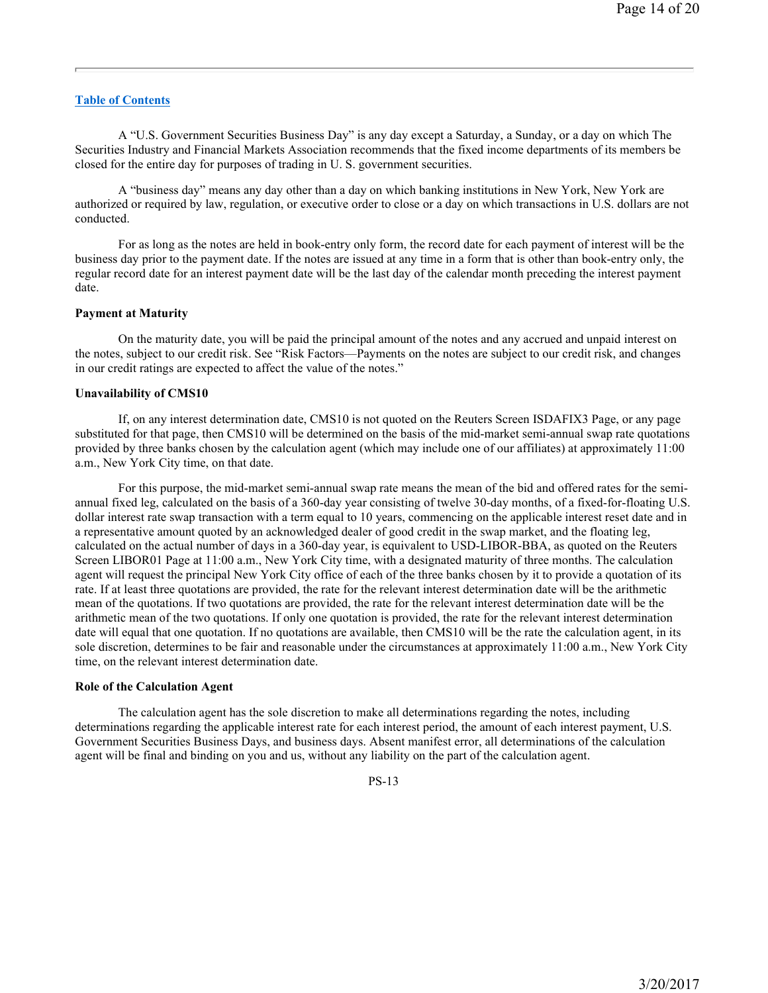A "U.S. Government Securities Business Day" is any day except a Saturday, a Sunday, or a day on which The Securities Industry and Financial Markets Association recommends that the fixed income departments of its members be closed for the entire day for purposes of trading in U. S. government securities.

A "business day" means any day other than a day on which banking institutions in New York, New York are authorized or required by law, regulation, or executive order to close or a day on which transactions in U.S. dollars are not conducted.

For as long as the notes are held in book-entry only form, the record date for each payment of interest will be the business day prior to the payment date. If the notes are issued at any time in a form that is other than book-entry only, the regular record date for an interest payment date will be the last day of the calendar month preceding the interest payment date.

#### **Payment at Maturity**

On the maturity date, you will be paid the principal amount of the notes and any accrued and unpaid interest on the notes, subject to our credit risk. See "Risk Factors—Payments on the notes are subject to our credit risk, and changes in our credit ratings are expected to affect the value of the notes."

#### **Unavailability of CMS10**

If, on any interest determination date, CMS10 is not quoted on the Reuters Screen ISDAFIX3 Page, or any page substituted for that page, then CMS10 will be determined on the basis of the mid-market semi-annual swap rate quotations provided by three banks chosen by the calculation agent (which may include one of our affiliates) at approximately 11:00 a.m., New York City time, on that date.

For this purpose, the mid-market semi-annual swap rate means the mean of the bid and offered rates for the semiannual fixed leg, calculated on the basis of a 360-day year consisting of twelve 30-day months, of a fixed-for-floating U.S. dollar interest rate swap transaction with a term equal to 10 years, commencing on the applicable interest reset date and in a representative amount quoted by an acknowledged dealer of good credit in the swap market, and the floating leg, calculated on the actual number of days in a 360-day year, is equivalent to USD-LIBOR-BBA, as quoted on the Reuters Screen LIBOR01 Page at 11:00 a.m., New York City time, with a designated maturity of three months. The calculation agent will request the principal New York City office of each of the three banks chosen by it to provide a quotation of its rate. If at least three quotations are provided, the rate for the relevant interest determination date will be the arithmetic mean of the quotations. If two quotations are provided, the rate for the relevant interest determination date will be the arithmetic mean of the two quotations. If only one quotation is provided, the rate for the relevant interest determination date will equal that one quotation. If no quotations are available, then CMS10 will be the rate the calculation agent, in its sole discretion, determines to be fair and reasonable under the circumstances at approximately 11:00 a.m., New York City time, on the relevant interest determination date.

#### **Role of the Calculation Agent**

The calculation agent has the sole discretion to make all determinations regarding the notes, including determinations regarding the applicable interest rate for each interest period, the amount of each interest payment, U.S. Government Securities Business Days, and business days. Absent manifest error, all determinations of the calculation agent will be final and binding on you and us, without any liability on the part of the calculation agent.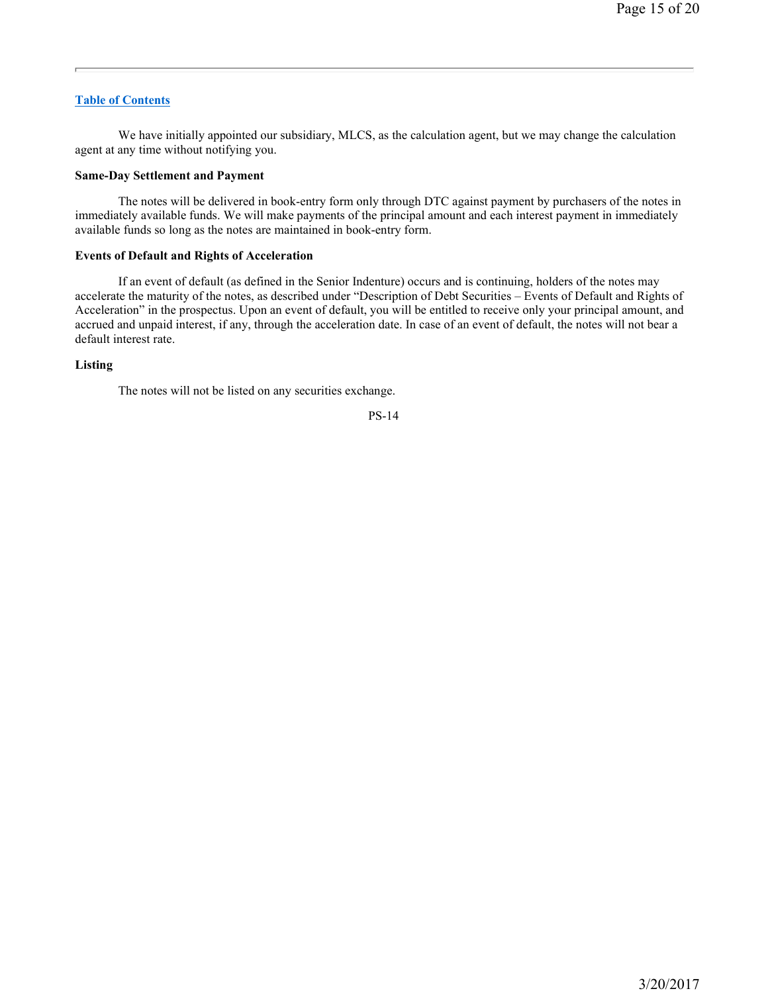We have initially appointed our subsidiary, MLCS, as the calculation agent, but we may change the calculation agent at any time without notifying you.

#### **Same-Day Settlement and Payment**

The notes will be delivered in book-entry form only through DTC against payment by purchasers of the notes in immediately available funds. We will make payments of the principal amount and each interest payment in immediately available funds so long as the notes are maintained in book-entry form.

# **Events of Default and Rights of Acceleration**

If an event of default (as defined in the Senior Indenture) occurs and is continuing, holders of the notes may accelerate the maturity of the notes, as described under "Description of Debt Securities – Events of Default and Rights of Acceleration" in the prospectus. Upon an event of default, you will be entitled to receive only your principal amount, and accrued and unpaid interest, if any, through the acceleration date. In case of an event of default, the notes will not bear a default interest rate.

### **Listing**

The notes will not be listed on any securities exchange.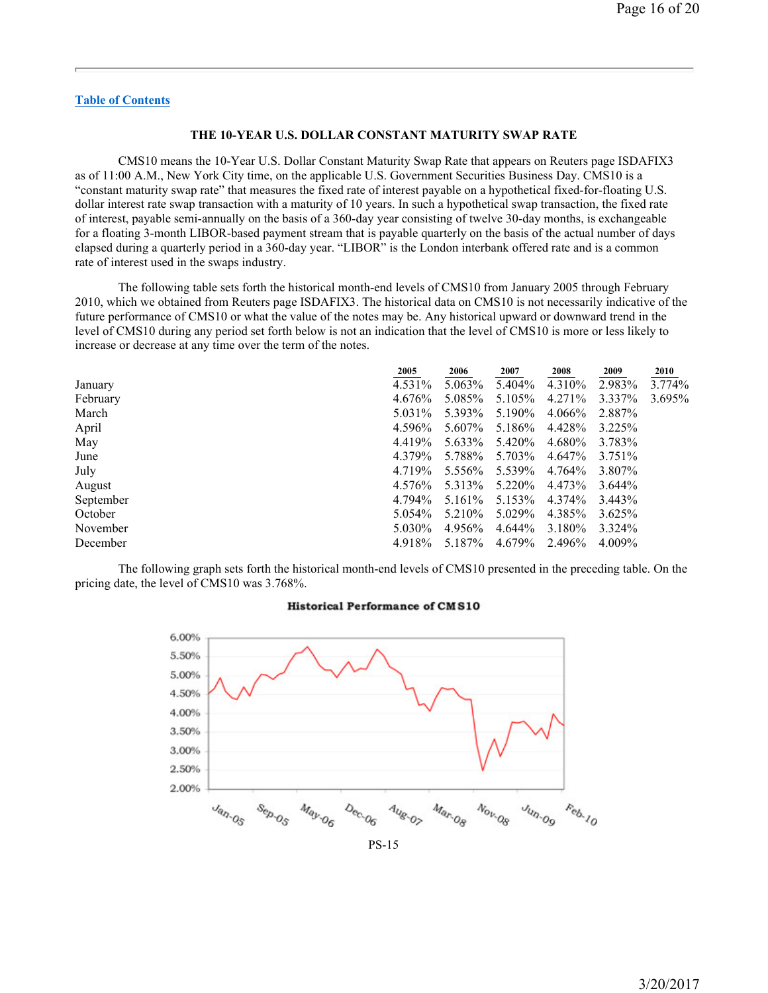### **THE 10-YEAR U.S. DOLLAR CONSTANT MATURITY SWAP RATE**

CMS10 means the 10-Year U.S. Dollar Constant Maturity Swap Rate that appears on Reuters page ISDAFIX3 as of 11:00 A.M., New York City time, on the applicable U.S. Government Securities Business Day. CMS10 is a "constant maturity swap rate" that measures the fixed rate of interest payable on a hypothetical fixed-for-floating U.S. dollar interest rate swap transaction with a maturity of 10 years. In such a hypothetical swap transaction, the fixed rate of interest, payable semi-annually on the basis of a 360-day year consisting of twelve 30-day months, is exchangeable for a floating 3-month LIBOR-based payment stream that is payable quarterly on the basis of the actual number of days elapsed during a quarterly period in a 360-day year. "LIBOR" is the London interbank offered rate and is a common rate of interest used in the swaps industry.

The following table sets forth the historical month-end levels of CMS10 from January 2005 through February 2010, which we obtained from Reuters page ISDAFIX3. The historical data on CMS10 is not necessarily indicative of the future performance of CMS10 or what the value of the notes may be. Any historical upward or downward trend in the level of CMS10 during any period set forth below is not an indication that the level of CMS10 is more or less likely to increase or decrease at any time over the term of the notes.

|           | 2005    | 2006    | 2007    | 2008   | 2009    | 2010      |
|-----------|---------|---------|---------|--------|---------|-----------|
| January   | 4.531%  | 5.063%  | 5.404%  | 4.310% | 2.983%  | 3.774%    |
| February  | 4.676%  | 5.085%  | 5.105%  | 4.271% | 3.337%  | $3.695\%$ |
| March     | 5.031\% | 5.393%  | 5.190%  | 4.066% | 2.887%  |           |
| April     | 4.596%  | 5.607%  | 5.186%  | 4.428% | 3.225%  |           |
| May       | 4.419%  | 5.633%  | 5.420%  | 4.680% | 3.783%  |           |
| June      | 4.379%  | 5.788%  | 5.703%  | 4.647% | 3.751\% |           |
| July      | 4.719%  | 5.556%  | 5.539%  | 4.764% | 3.807%  |           |
| August    | 4.576%  | 5.313%  | 5.220\% | 4.473% | 3.644%  |           |
| September | 4.794%  | 5.161\% | 5.153%  | 4.374% | 3.443%  |           |
| October   | 5.054%  | 5.210\% | 5.029%  | 4.385% | 3.625%  |           |
| November  | 5.030%  | 4.956%  | 4.644%  | 3.180% | 3.324%  |           |
| December  | 4.918%  | 5.187%  | 4.679%  | 2.496% | 4.009%  |           |

The following graph sets forth the historical month-end levels of CMS10 presented in the preceding table. On the pricing date, the level of CMS10 was 3.768%.



# **Historical Performance of CMS10**

PS-15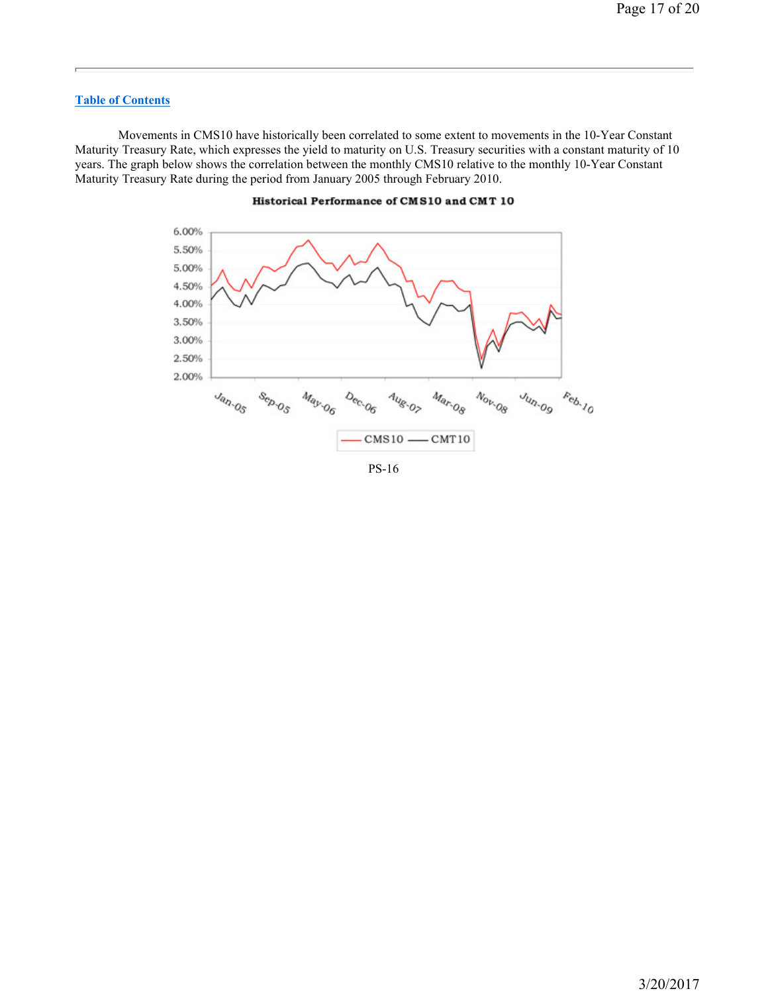Movements in CMS10 have historically been correlated to some extent to movements in the 10-Year Constant Maturity Treasury Rate, which expresses the yield to maturity on U.S. Treasury securities with a constant maturity of 10 years. The graph below shows the correlation between the monthly CMS10 relative to the monthly 10-Year Constant Maturity Treasury Rate during the period from January 2005 through February 2010.



### Historical Performance of CMS10 and CMT 10

PS-16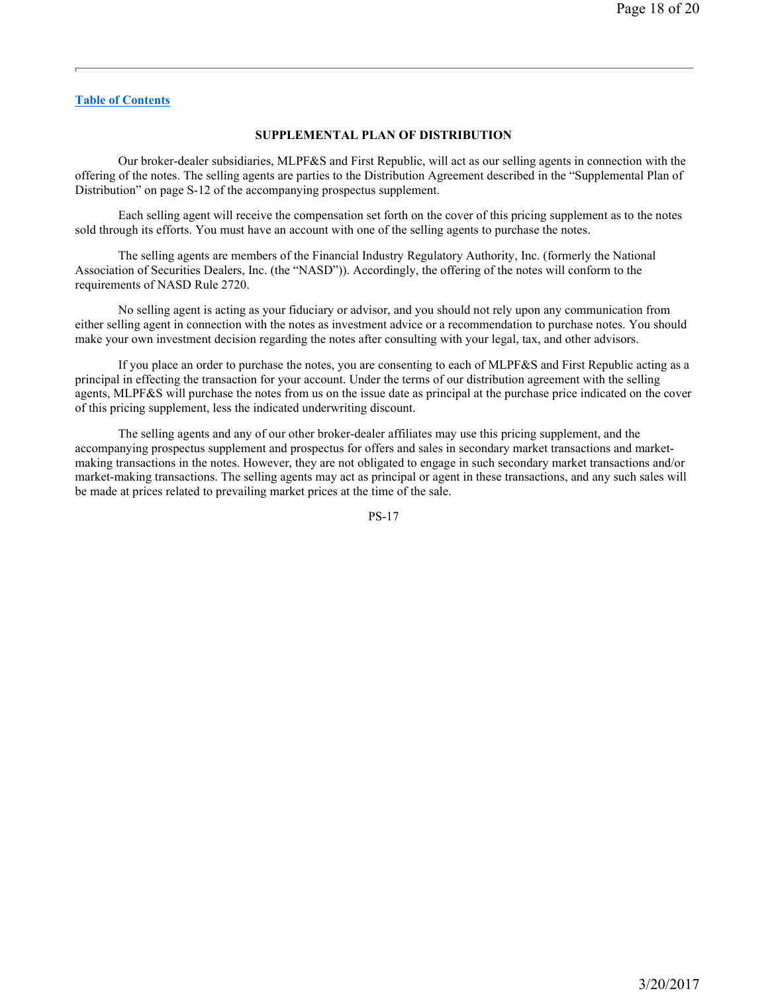### **SUPPLEMENTAL PLAN OF DISTRIBUTION**

Our broker-dealer subsidiaries, MLPF&S and First Republic, will act as our selling agents in connection with the offering of the notes. The selling agents are parties to the Distribution Agreement described in the "Supplemental Plan of Distribution" on page S-12 of the accompanying prospectus supplement.

Each selling agent will receive the compensation set forth on the cover of this pricing supplement as to the notes sold through its efforts. You must have an account with one of the selling agents to purchase the notes.

The selling agents are members of the Financial Industry Regulatory Authority, Inc. (formerly the National Association of Securities Dealers, Inc. (the "NASD")). Accordingly, the offering of the notes will conform to the requirements of NASD Rule 2720.

No selling agent is acting as your fiduciary or advisor, and you should not rely upon any communication from either selling agent in connection with the notes as investment advice or a recommendation to purchase notes. You should make your own investment decision regarding the notes after consulting with your legal, tax, and other advisors.

If you place an order to purchase the notes, you are consenting to each of MLPF&S and First Republic acting as a principal in effecting the transaction for your account. Under the terms of our distribution agreement with the selling agents, MLPF&S will purchase the notes from us on the issue date as principal at the purchase price indicated on the cover of this pricing supplement, less the indicated underwriting discount.

The selling agents and any of our other broker-dealer affiliates may use this pricing supplement, and the accompanying prospectus supplement and prospectus for offers and sales in secondary market transactions and marketmaking transactions in the notes. However, they are not obligated to engage in such secondary market transactions and/or market-making transactions. The selling agents may act as principal or agent in these transactions, and any such sales will be made at prices related to prevailing market prices at the time of the sale.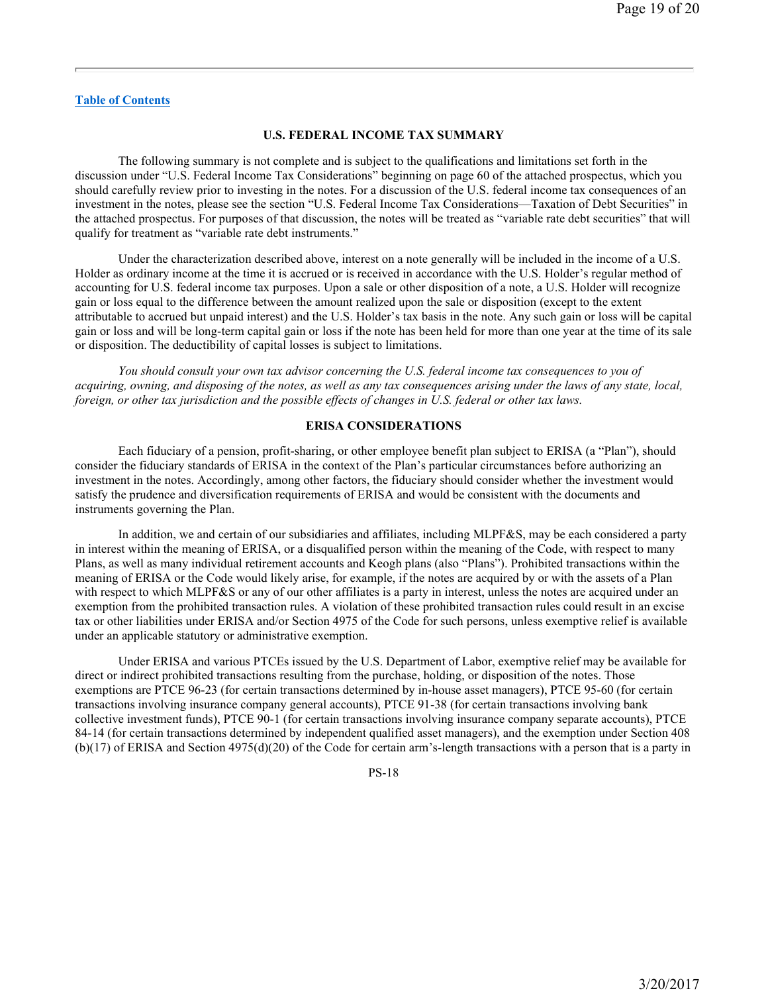#### **U.S. FEDERAL INCOME TAX SUMMARY**

The following summary is not complete and is subject to the qualifications and limitations set forth in the discussion under "U.S. Federal Income Tax Considerations" beginning on page 60 of the attached prospectus, which you should carefully review prior to investing in the notes. For a discussion of the U.S. federal income tax consequences of an investment in the notes, please see the section "U.S. Federal Income Tax Considerations—Taxation of Debt Securities" in the attached prospectus. For purposes of that discussion, the notes will be treated as "variable rate debt securities" that will qualify for treatment as "variable rate debt instruments."

Under the characterization described above, interest on a note generally will be included in the income of a U.S. Holder as ordinary income at the time it is accrued or is received in accordance with the U.S. Holder's regular method of accounting for U.S. federal income tax purposes. Upon a sale or other disposition of a note, a U.S. Holder will recognize gain or loss equal to the difference between the amount realized upon the sale or disposition (except to the extent attributable to accrued but unpaid interest) and the U.S. Holder's tax basis in the note. Any such gain or loss will be capital gain or loss and will be long-term capital gain or loss if the note has been held for more than one year at the time of its sale or disposition. The deductibility of capital losses is subject to limitations.

*You should consult your own tax advisor concerning the U.S. federal income tax consequences to you of acquiring, owning, and disposing of the notes, as well as any tax consequences arising under the laws of any state, local, foreign, or other tax jurisdiction and the possible effects of changes in U.S. federal or other tax laws.* 

#### **ERISA CONSIDERATIONS**

Each fiduciary of a pension, profit-sharing, or other employee benefit plan subject to ERISA (a "Plan"), should consider the fiduciary standards of ERISA in the context of the Plan's particular circumstances before authorizing an investment in the notes. Accordingly, among other factors, the fiduciary should consider whether the investment would satisfy the prudence and diversification requirements of ERISA and would be consistent with the documents and instruments governing the Plan.

In addition, we and certain of our subsidiaries and affiliates, including MLPF&S, may be each considered a party in interest within the meaning of ERISA, or a disqualified person within the meaning of the Code, with respect to many Plans, as well as many individual retirement accounts and Keogh plans (also "Plans"). Prohibited transactions within the meaning of ERISA or the Code would likely arise, for example, if the notes are acquired by or with the assets of a Plan with respect to which MLPF&S or any of our other affiliates is a party in interest, unless the notes are acquired under an exemption from the prohibited transaction rules. A violation of these prohibited transaction rules could result in an excise tax or other liabilities under ERISA and/or Section 4975 of the Code for such persons, unless exemptive relief is available under an applicable statutory or administrative exemption.

Under ERISA and various PTCEs issued by the U.S. Department of Labor, exemptive relief may be available for direct or indirect prohibited transactions resulting from the purchase, holding, or disposition of the notes. Those exemptions are PTCE 96-23 (for certain transactions determined by in-house asset managers), PTCE 95-60 (for certain transactions involving insurance company general accounts), PTCE 91-38 (for certain transactions involving bank collective investment funds), PTCE 90-1 (for certain transactions involving insurance company separate accounts), PTCE 84-14 (for certain transactions determined by independent qualified asset managers), and the exemption under Section 408 (b)(17) of ERISA and Section 4975(d)(20) of the Code for certain arm's-length transactions with a person that is a party in